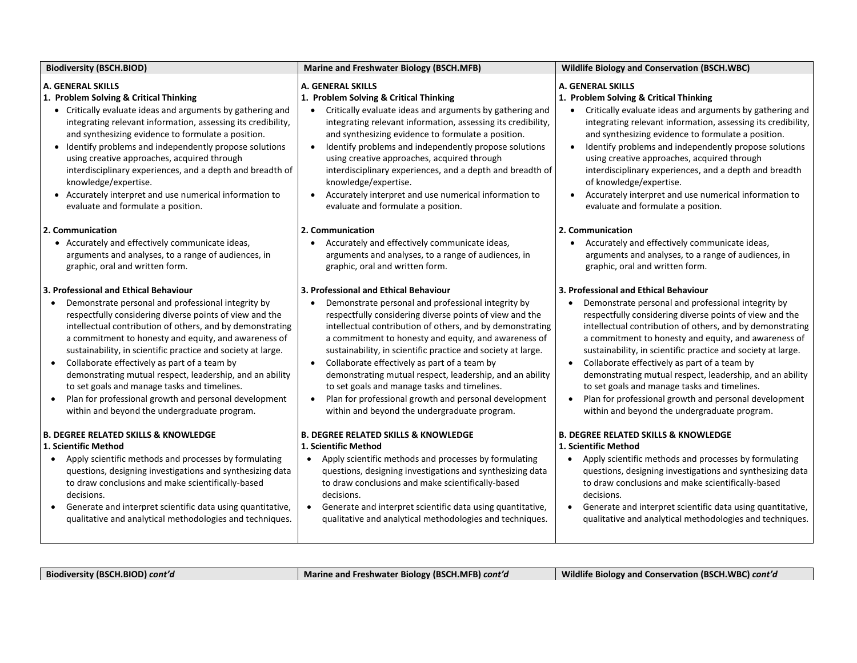| <b>Biodiversity (BSCH.BIOD)</b>                                                                                                                                                                                                                                                                                                                                                                                                                                                                                                                                                                                                                         | Marine and Freshwater Biology (BSCH.MFB)                                                                                                                                                                                                                                                                                                                                                                                                                                                                                                                                                                                                                | <b>Wildlife Biology and Conservation (BSCH.WBC)</b>                                                                                                                                                                                                                                                                                                                                                                                                                                                                                                                                                              |
|---------------------------------------------------------------------------------------------------------------------------------------------------------------------------------------------------------------------------------------------------------------------------------------------------------------------------------------------------------------------------------------------------------------------------------------------------------------------------------------------------------------------------------------------------------------------------------------------------------------------------------------------------------|---------------------------------------------------------------------------------------------------------------------------------------------------------------------------------------------------------------------------------------------------------------------------------------------------------------------------------------------------------------------------------------------------------------------------------------------------------------------------------------------------------------------------------------------------------------------------------------------------------------------------------------------------------|------------------------------------------------------------------------------------------------------------------------------------------------------------------------------------------------------------------------------------------------------------------------------------------------------------------------------------------------------------------------------------------------------------------------------------------------------------------------------------------------------------------------------------------------------------------------------------------------------------------|
| <b>A. GENERAL SKILLS</b><br>1. Problem Solving & Critical Thinking<br>• Critically evaluate ideas and arguments by gathering and<br>integrating relevant information, assessing its credibility,<br>and synthesizing evidence to formulate a position.<br>• Identify problems and independently propose solutions<br>using creative approaches, acquired through<br>interdisciplinary experiences, and a depth and breadth of<br>knowledge/expertise.<br>• Accurately interpret and use numerical information to<br>evaluate and formulate a position.                                                                                                  | <b>A. GENERAL SKILLS</b><br>1. Problem Solving & Critical Thinking<br>Critically evaluate ideas and arguments by gathering and<br>integrating relevant information, assessing its credibility,<br>and synthesizing evidence to formulate a position.<br>Identify problems and independently propose solutions<br>$\bullet$<br>using creative approaches, acquired through<br>interdisciplinary experiences, and a depth and breadth of<br>knowledge/expertise.<br>Accurately interpret and use numerical information to<br>$\bullet$<br>evaluate and formulate a position.                                                                              | <b>A. GENERAL SKILLS</b><br>1. Problem Solving & Critical Thinking<br>Critically evaluate ideas and arguments by gathering and<br>integrating relevant information, assessing its credibility,<br>and synthesizing evidence to formulate a position.<br>Identify problems and independently propose solutions<br>$\bullet$<br>using creative approaches, acquired through<br>interdisciplinary experiences, and a depth and breadth<br>of knowledge/expertise.<br>Accurately interpret and use numerical information to<br>evaluate and formulate a position.                                                    |
| 2. Communication<br>• Accurately and effectively communicate ideas,<br>arguments and analyses, to a range of audiences, in<br>graphic, oral and written form.                                                                                                                                                                                                                                                                                                                                                                                                                                                                                           | 2. Communication<br>Accurately and effectively communicate ideas,<br>arguments and analyses, to a range of audiences, in<br>graphic, oral and written form.                                                                                                                                                                                                                                                                                                                                                                                                                                                                                             | 2. Communication<br>Accurately and effectively communicate ideas,<br>arguments and analyses, to a range of audiences, in<br>graphic, oral and written form.                                                                                                                                                                                                                                                                                                                                                                                                                                                      |
| 3. Professional and Ethical Behaviour<br>Demonstrate personal and professional integrity by<br>$\bullet$<br>respectfully considering diverse points of view and the<br>intellectual contribution of others, and by demonstrating<br>a commitment to honesty and equity, and awareness of<br>sustainability, in scientific practice and society at large.<br>Collaborate effectively as part of a team by<br>$\bullet$<br>demonstrating mutual respect, leadership, and an ability<br>to set goals and manage tasks and timelines.<br>Plan for professional growth and personal development<br>$\bullet$<br>within and beyond the undergraduate program. | 3. Professional and Ethical Behaviour<br>Demonstrate personal and professional integrity by<br>$\bullet$<br>respectfully considering diverse points of view and the<br>intellectual contribution of others, and by demonstrating<br>a commitment to honesty and equity, and awareness of<br>sustainability, in scientific practice and society at large.<br>Collaborate effectively as part of a team by<br>$\bullet$<br>demonstrating mutual respect, leadership, and an ability<br>to set goals and manage tasks and timelines.<br>Plan for professional growth and personal development<br>$\bullet$<br>within and beyond the undergraduate program. | 3. Professional and Ethical Behaviour<br>Demonstrate personal and professional integrity by<br>respectfully considering diverse points of view and the<br>intellectual contribution of others, and by demonstrating<br>a commitment to honesty and equity, and awareness of<br>sustainability, in scientific practice and society at large.<br>Collaborate effectively as part of a team by<br>demonstrating mutual respect, leadership, and an ability<br>to set goals and manage tasks and timelines.<br>Plan for professional growth and personal development<br>within and beyond the undergraduate program. |
| <b>B. DEGREE RELATED SKILLS &amp; KNOWLEDGE</b><br>1. Scientific Method<br>Apply scientific methods and processes by formulating<br>$\bullet$<br>questions, designing investigations and synthesizing data<br>to draw conclusions and make scientifically-based<br>decisions.<br>Generate and interpret scientific data using quantitative,<br>$\bullet$<br>qualitative and analytical methodologies and techniques.                                                                                                                                                                                                                                    | <b>B. DEGREE RELATED SKILLS &amp; KNOWLEDGE</b><br>1. Scientific Method<br>Apply scientific methods and processes by formulating<br>$\bullet$<br>questions, designing investigations and synthesizing data<br>to draw conclusions and make scientifically-based<br>decisions.<br>• Generate and interpret scientific data using quantitative,<br>qualitative and analytical methodologies and techniques.                                                                                                                                                                                                                                               | <b>B. DEGREE RELATED SKILLS &amp; KNOWLEDGE</b><br>1. Scientific Method<br>Apply scientific methods and processes by formulating<br>questions, designing investigations and synthesizing data<br>to draw conclusions and make scientifically-based<br>decisions.<br>Generate and interpret scientific data using quantitative,<br>qualitative and analytical methodologies and techniques.                                                                                                                                                                                                                       |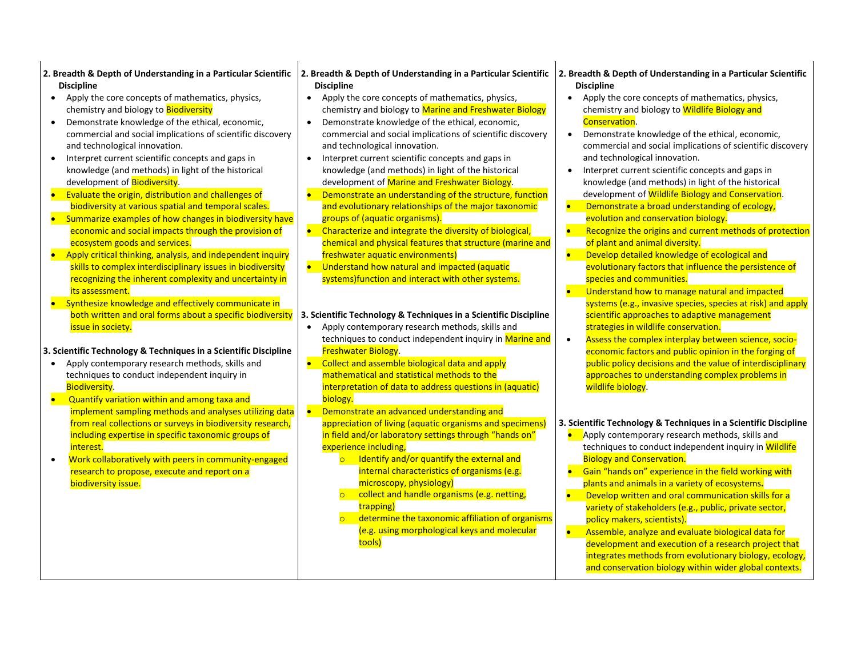- **2. Breadth & Depth of Understanding in a Particular Scientific 2. Breadth & Depth of Understanding in a Particular Scientific 2. Breadth & Depth of Understanding in a Particular Scientific Discipline**
- Apply the core concepts of mathematics, physics, chemistry and biology to **Biodiversity**
- Demonstrate knowledge of the ethical, economic, commercial and social implications of scientific discovery and technological innovation.
- Interpret current scientific concepts and gaps in knowledge (and methods) in light of the historical development of **Biodiversity**.
- Evaluate the origin, distribution and challenges of biodiversity at various spatial and temporal scales.
- Summarize examples of how changes in biodiversity have economic and social impacts through the provision of ecosystem goods and services.
- Apply critical thinking, analysis, and independent inquiry skills to complex interdisciplinary issues in biodiversity recognizing the inherent complexity and uncertainty in its assessment.
- Synthesize knowledge and effectively communicate in issue in society.
- **3. Scientific Technology & Techniques in a Scientific Discipline**
- Apply contemporary research methods, skills and techniques to conduct independent inquiry in Biodiversity.
- Quantify variation within and among taxa and implement sampling methods and analyses utilizing data from real collections or surveys in biodiversity research, including expertise in specific taxonomic groups of interest.
- Work collaboratively with peers in community-engaged research to propose, execute and report on a biodiversity issue.

## **Discipline**

- Apply the core concepts of mathematics, physics, chemistry and biology to Marine and Freshwater Biology
- Demonstrate knowledge of the ethical, economic, commercial and social implications of scientific discovery and technological innovation.
- Interpret current scientific concepts and gaps in knowledge (and methods) in light of the historical development of Marine and Freshwater Biology.
- Demonstrate an understanding of the structure, function and evolutionary relationships of the major taxonomic groups of (aquatic organisms).
- Characterize and integrate the diversity of biological, chemical and physical features that structure (marine and freshwater aquatic environments)
- Understand how natural and impacted (aquatic systems)function and interact with other systems.

## both written and oral forms about a specific biodiversity **3. Scientific Technology & Techniques in a Scientific Discipline**

- Apply contemporary research methods, skills and techniques to conduct independent inquiry in Marine and Freshwater Biology.
- Collect and assemble biological data and apply mathematical and statistical methods to the interpretation of data to address questions in (aquatic) biology.
- Demonstrate an advanced understanding and appreciation of living (aquatic organisms and specimens) in field and/or laboratory settings through "hands on" experience including,
	- Identify and/or quantify the external and internal characteristics of organisms (e.g. microscopy, physiology)
	- collect and handle organisms (e.g. netting, trapping)
	- determine the taxonomic affiliation of organisms (e.g. using morphological keys and molecular tools)

# **Discipline**

- Apply the core concepts of mathematics, physics, chemistry and biology to **Wildlife Biology and** Conservation.
- Demonstrate knowledge of the ethical, economic, commercial and social implications of scientific discovery and technological innovation.
- Interpret current scientific concepts and gaps in knowledge (and methods) in light of the historical development of Wildlife Biology and Conservation.
- Demonstrate a broad understanding of ecology,
- evolution and conservation biology.
- Recognize the origins and current methods of protection of plant and animal diversity.
- Develop detailed knowledge of ecological and evolutionary factors that influence the persistence of species and communities.
- Understand how to manage natural and impacted systems (e.g., invasive species, species at risk) and apply scientific approaches to adaptive management strategies in wildlife conservation.
- Assess the complex interplay between science, socioeconomic factors and public opinion in the forging of public policy decisions and the value of interdisciplinary approaches to understanding complex problems in wildlife biology.

## **3. Scientific Technology & Techniques in a Scientific Discipline**

- Apply contemporary research methods, skills and techniques to conduct independent inquiry in Wildlife Biology and Conservation.
- Gain "hands on" experience in the field working with plants and animals in a variety of ecosystems**.**
- Develop written and oral communication skills for a variety of stakeholders (e.g., public, private sector, policy makers, scientists).
- Assemble, analyze and evaluate biological data for development and execution of a research project that integrates methods from evolutionary biology, ecology, and conservation biology within wider global contexts.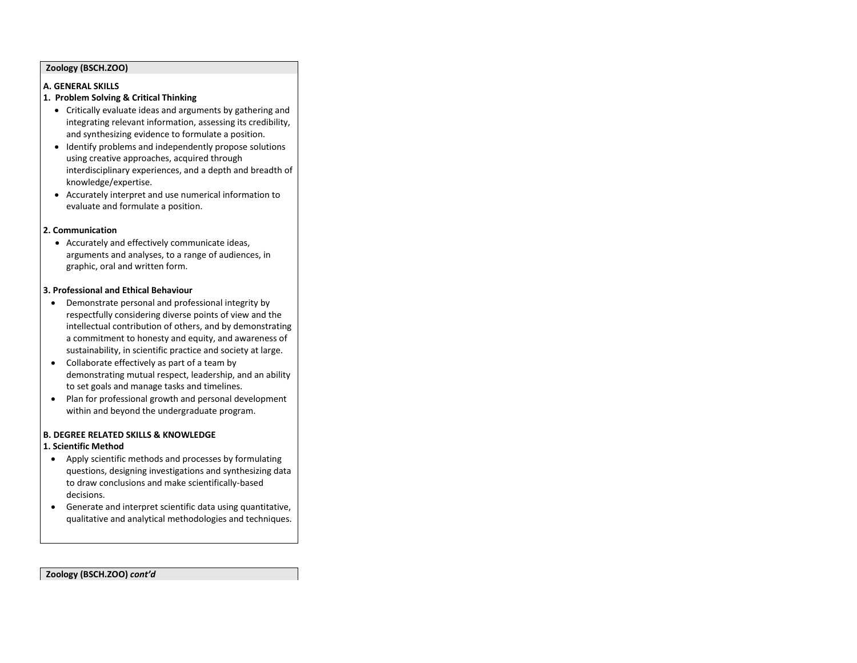#### **Zoology (BSCH.ZOO)**

#### **A. GENERAL SKILLS**

### **1. Problem Solving & Critical Thinking**

- Critically evaluate ideas and arguments by gathering and integrating relevant information, assessing its credibility, and synthesizing evidence to formulate a position.
- Identify problems and independently propose solutions using creative approaches, acquired through interdisciplinary experiences, and a depth and breadth of knowledge/expertise.
- Accurately interpret and use numerical information to evaluate and formulate a position.

#### **2. Communication**

• Accurately and effectively communicate ideas, arguments and analyses, to a range of audiences, in graphic, oral and written form.

#### **3. Professional and Ethical Behaviour**

- Demonstrate personal and professional integrity by respectfully considering diverse points of view and the intellectual contribution of others, and by demonstrating a commitment to honesty and equity, and awareness of sustainability, in scientific practice and society at large.
- Collaborate effectively as part of a team by demonstrating mutual respect, leadership, and an ability to set goals and manage tasks and timelines.
- Plan for professional growth and personal development within and beyond the undergraduate program.

#### **B. DEGREE RELATED SKILLS & KNOWLEDGE**

## **1. Scientific Method**

- Apply scientific methods and processes by formulating questions, designing investigations and synthesizing data to draw conclusions and make scientifically-based decisions.
- Generate and interpret scientific data using quantitative, qualitative and analytical methodologies and techniques.

#### **Zoology (BSCH.ZOO)** *cont'd*